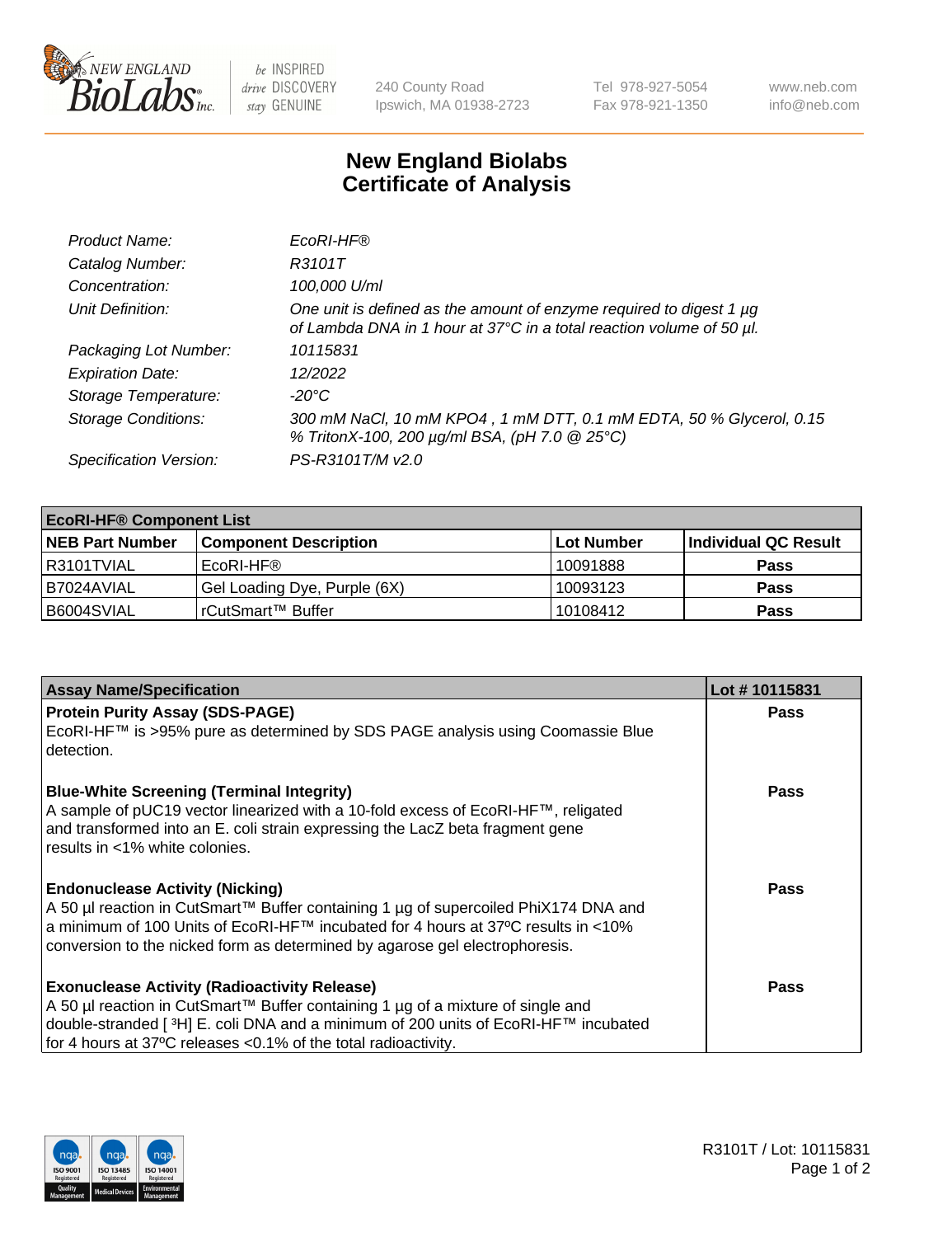

 $be$  INSPIRED drive DISCOVERY stay GENUINE

240 County Road Ipswich, MA 01938-2723 Tel 978-927-5054 Fax 978-921-1350 www.neb.com info@neb.com

## **New England Biolabs Certificate of Analysis**

| Product Name:              | EcoRI-HF®                                                                                                                                   |
|----------------------------|---------------------------------------------------------------------------------------------------------------------------------------------|
| Catalog Number:            | R3101T                                                                                                                                      |
| Concentration:             | 100,000 U/ml                                                                                                                                |
| Unit Definition:           | One unit is defined as the amount of enzyme required to digest 1 µg<br>of Lambda DNA in 1 hour at 37°C in a total reaction volume of 50 µl. |
| Packaging Lot Number:      | 10115831                                                                                                                                    |
| <b>Expiration Date:</b>    | 12/2022                                                                                                                                     |
| Storage Temperature:       | -20°C                                                                                                                                       |
| <b>Storage Conditions:</b> | 300 mM NaCl, 10 mM KPO4, 1 mM DTT, 0.1 mM EDTA, 50 % Glycerol, 0.15<br>% TritonX-100, 200 µg/ml BSA, (pH 7.0 @ 25°C)                        |
| Specification Version:     | PS-R3101T/M v2.0                                                                                                                            |

| <b>EcoRI-HF® Component List</b> |                              |             |                      |  |  |
|---------------------------------|------------------------------|-------------|----------------------|--|--|
| <b>NEB Part Number</b>          | <b>Component Description</b> | ∣Lot Number | Individual QC Result |  |  |
| R3101TVIAL                      | EcoRI-HF®                    | 10091888    | <b>Pass</b>          |  |  |
| B7024AVIAL                      | Gel Loading Dye, Purple (6X) | 10093123    | <b>Pass</b>          |  |  |
| B6004SVIAL                      | rCutSmart™ Buffer            | 10108412    | <b>Pass</b>          |  |  |

| <b>Assay Name/Specification</b>                                                                                                                                                                                                                                                                             | Lot #10115831 |
|-------------------------------------------------------------------------------------------------------------------------------------------------------------------------------------------------------------------------------------------------------------------------------------------------------------|---------------|
| <b>Protein Purity Assay (SDS-PAGE)</b><br>EcoRI-HF™ is >95% pure as determined by SDS PAGE analysis using Coomassie Blue<br>detection.                                                                                                                                                                      | <b>Pass</b>   |
| <b>Blue-White Screening (Terminal Integrity)</b><br>A sample of pUC19 vector linearized with a 10-fold excess of EcoRI-HF™, religated<br>and transformed into an E. coli strain expressing the LacZ beta fragment gene<br>results in <1% white colonies.                                                    | Pass          |
| <b>Endonuclease Activity (Nicking)</b><br>  A 50 µl reaction in CutSmart™ Buffer containing 1 µg of supercoiled PhiX174 DNA and<br> a minimum of 100 Units of EcoRI-HF™ incubated for 4 hours at 37°C results in <10%<br>conversion to the nicked form as determined by agarose gel electrophoresis.        | Pass          |
| <b>Exonuclease Activity (Radioactivity Release)</b><br>A 50 µl reaction in CutSmart™ Buffer containing 1 µg of a mixture of single and<br>double-stranded [ <sup>3</sup> H] E. coli DNA and a minimum of 200 units of EcoRI-HF™ incubated<br>for 4 hours at 37°C releases <0.1% of the total radioactivity. | Pass          |